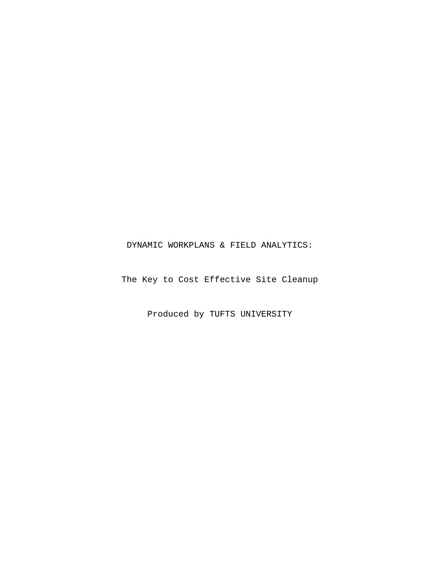## DYNAMIC WORKPLANS & FIELD ANALYTICS:

The Key to Cost Effective Site Cleanup

Produced by TUFTS UNIVERSITY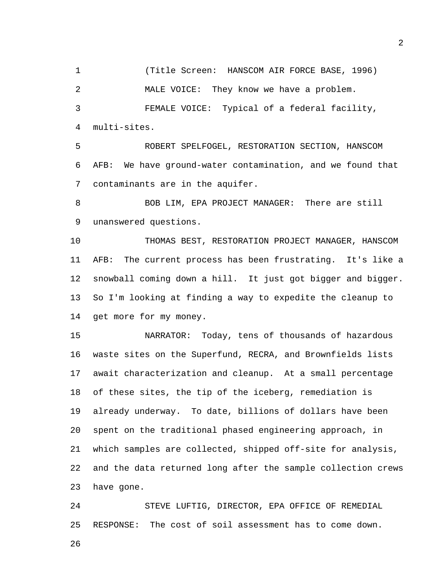1 (Title Screen: HANSCOM AIR FORCE BASE, 1996) 2 MALE VOICE: They know we have a problem. 3 FEMALE VOICE: Typical of a federal facility, 4 multi-sites.

5 ROBERT SPELFOGEL, RESTORATION SECTION, HANSCOM 6 AFB: We have ground-water contamination, and we found that 7 contaminants are in the aquifer.

8 BOB LIM, EPA PROJECT MANAGER: There are still 9 unanswered questions.

10 THOMAS BEST, RESTORATION PROJECT MANAGER, HANSCOM 11 AFB: The current process has been frustrating. It's like a 12 snowball coming down a hill. It just got bigger and bigger. 13 So I'm looking at finding a way to expedite the cleanup to 14 get more for my money.

15 NARRATOR: Today, tens of thousands of hazardous 16 waste sites on the Superfund, RECRA, and Brownfields lists 17 await characterization and cleanup. At a small percentage 18 of these sites, the tip of the iceberg, remediation is 19 already underway. To date, billions of dollars have been 20 spent on the traditional phased engineering approach, in 21 which samples are collected, shipped off-site for analysis, 22 and the data returned long after the sample collection crews 23 have gone.

24 STEVE LUFTIG, DIRECTOR, EPA OFFICE OF REMEDIAL 25 RESPONSE: The cost of soil assessment has to come down.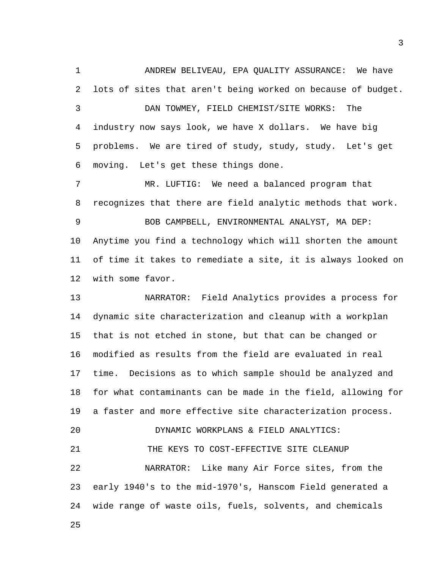1 ANDREW BELIVEAU, EPA QUALITY ASSURANCE: We have 2 lots of sites that aren't being worked on because of budget. 3 DAN TOWMEY, FIELD CHEMIST/SITE WORKS: The 4 industry now says look, we have X dollars. We have big 5 problems. We are tired of study, study, study. Let's get 6 moving. Let's get these things done.

7 MR. LUFTIG: We need a balanced program that 8 recognizes that there are field analytic methods that work. 9 BOB CAMPBELL, ENVIRONMENTAL ANALYST, MA DEP:

10 Anytime you find a technology which will shorten the amount 11 of time it takes to remediate a site, it is always looked on 12 with some favor.

13 NARRATOR: Field Analytics provides a process for 14 dynamic site characterization and cleanup with a workplan 15 that is not etched in stone, but that can be changed or 16 modified as results from the field are evaluated in real 17 time. Decisions as to which sample should be analyzed and 18 for what contaminants can be made in the field, allowing for 19 a faster and more effective site characterization process. 20 DYNAMIC WORKPLANS & FIELD ANALYTICS: 21 THE KEYS TO COST-EFFECTIVE SITE CLEANUP 22 NARRATOR: Like many Air Force sites, from the 23 early 1940's to the mid-1970's, Hanscom Field generated a 24 wide range of waste oils, fuels, solvents, and chemicals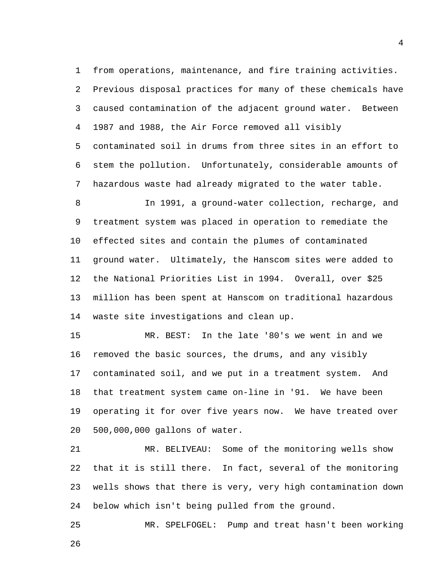1 from operations, maintenance, and fire training activities. 2 Previous disposal practices for many of these chemicals have

3 caused contamination of the adjacent ground water. Between 4 1987 and 1988, the Air Force removed all visibly 5 contaminated soil in drums from three sites in an effort to 6 stem the pollution. Unfortunately, considerable amounts of 7 hazardous waste had already migrated to the water table.

8 In 1991, a ground-water collection, recharge, and 9 treatment system was placed in operation to remediate the 10 effected sites and contain the plumes of contaminated 11 ground water. Ultimately, the Hanscom sites were added to 12 the National Priorities List in 1994. Overall, over \$25 13 million has been spent at Hanscom on traditional hazardous 14 waste site investigations and clean up.

15 MR. BEST: In the late '80's we went in and we 16 removed the basic sources, the drums, and any visibly 17 contaminated soil, and we put in a treatment system. And 18 that treatment system came on-line in '91. We have been 19 operating it for over five years now. We have treated over 20 500,000,000 gallons of water.

21 MR. BELIVEAU: Some of the monitoring wells show 22 that it is still there. In fact, several of the monitoring 23 wells shows that there is very, very high contamination down 24 below which isn't being pulled from the ground.

25 MR. SPELFOGEL: Pump and treat hasn't been working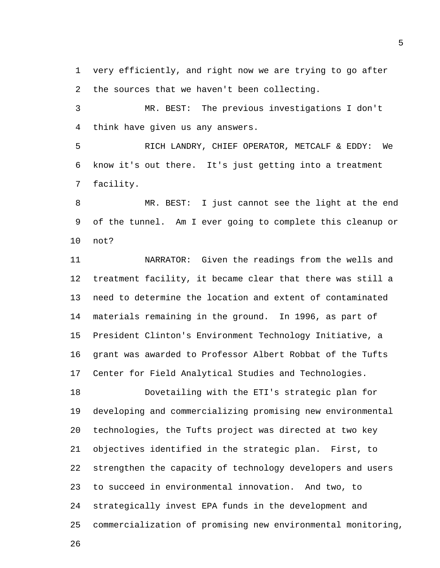1 very efficiently, and right now we are trying to go after 2 the sources that we haven't been collecting.

3 MR. BEST: The previous investigations I don't 4 think have given us any answers.

5 RICH LANDRY, CHIEF OPERATOR, METCALF & EDDY: We 6 know it's out there. It's just getting into a treatment 7 facility.

8 MR. BEST: I just cannot see the light at the end 9 of the tunnel. Am I ever going to complete this cleanup or 10 not?

11 NARRATOR: Given the readings from the wells and 12 treatment facility, it became clear that there was still a 13 need to determine the location and extent of contaminated 14 materials remaining in the ground. In 1996, as part of 15 President Clinton's Environment Technology Initiative, a 16 grant was awarded to Professor Albert Robbat of the Tufts 17 Center for Field Analytical Studies and Technologies.

18 Dovetailing with the ETI's strategic plan for 19 developing and commercializing promising new environmental 20 technologies, the Tufts project was directed at two key 21 objectives identified in the strategic plan. First, to 22 strengthen the capacity of technology developers and users 23 to succeed in environmental innovation. And two, to 24 strategically invest EPA funds in the development and 25 commercialization of promising new environmental monitoring,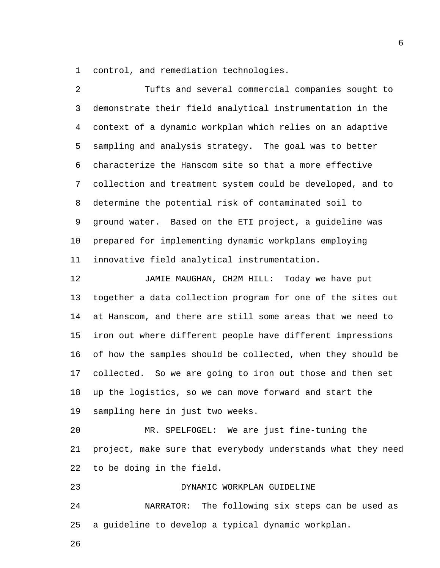1 control, and remediation technologies.

2 Tufts and several commercial companies sought to 3 demonstrate their field analytical instrumentation in the 4 context of a dynamic workplan which relies on an adaptive 5 sampling and analysis strategy. The goal was to better 6 characterize the Hanscom site so that a more effective 7 collection and treatment system could be developed, and to 8 determine the potential risk of contaminated soil to 9 ground water. Based on the ETI project, a guideline was 10 prepared for implementing dynamic workplans employing 11 innovative field analytical instrumentation.

12 JAMIE MAUGHAN, CH2M HILL: Today we have put 13 together a data collection program for one of the sites out 14 at Hanscom, and there are still some areas that we need to 15 iron out where different people have different impressions 16 of how the samples should be collected, when they should be 17 collected. So we are going to iron out those and then set 18 up the logistics, so we can move forward and start the 19 sampling here in just two weeks.

20 MR. SPELFOGEL: We are just fine-tuning the 21 project, make sure that everybody understands what they need 22 to be doing in the field.

23 DYNAMIC WORKPLAN GUIDELINE

24 NARRATOR: The following six steps can be used as 25 a guideline to develop a typical dynamic workplan.

26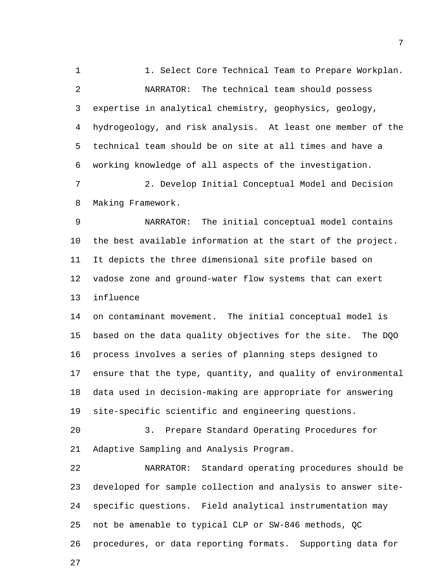1 1. Select Core Technical Team to Prepare Workplan. 2 NARRATOR: The technical team should possess 3 expertise in analytical chemistry, geophysics, geology, 4 hydrogeology, and risk analysis. At least one member of the 5 technical team should be on site at all times and have a 6 working knowledge of all aspects of the investigation. 7 2. Develop Initial Conceptual Model and Decision 8 Making Framework. 9 NARRATOR: The initial conceptual model contains 10 the best available information at the start of the project. 11 It depicts the three dimensional site profile based on 12 vadose zone and ground-water flow systems that can exert 13 influence 14 on contaminant movement. The initial conceptual model is 15 based on the data quality objectives for the site. The DQO 16 process involves a series of planning steps designed to 17 ensure that the type, quantity, and quality of environmental 18 data used in decision-making are appropriate for answering 19 site-specific scientific and engineering questions. 20 3. Prepare Standard Operating Procedures for 21 Adaptive Sampling and Analysis Program. 22 NARRATOR: Standard operating procedures should be 23 developed for sample collection and analysis to answer site-24 specific questions. Field analytical instrumentation may 25 not be amenable to typical CLP or SW-846 methods, QC

26 procedures, or data reporting formats. Supporting data for

27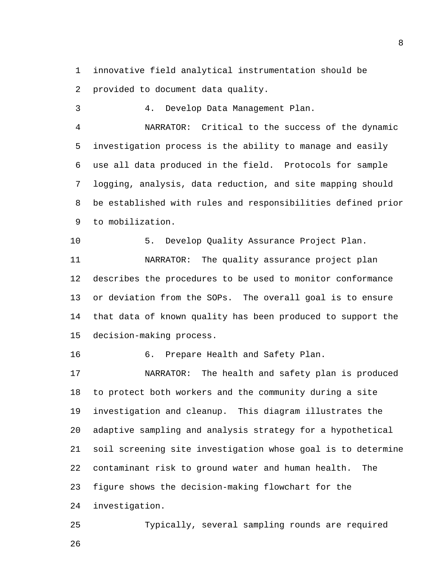1 innovative field analytical instrumentation should be 2 provided to document data quality.

3 4. Develop Data Management Plan.

4 NARRATOR: Critical to the success of the dynamic 5 investigation process is the ability to manage and easily 6 use all data produced in the field. Protocols for sample 7 logging, analysis, data reduction, and site mapping should 8 be established with rules and responsibilities defined prior 9 to mobilization.

10 5. Develop Quality Assurance Project Plan. 11 NARRATOR: The quality assurance project plan 12 describes the procedures to be used to monitor conformance 13 or deviation from the SOPs. The overall goal is to ensure 14 that data of known quality has been produced to support the 15 decision-making process.

16 6. Prepare Health and Safety Plan.

17 NARRATOR: The health and safety plan is produced 18 to protect both workers and the community during a site 19 investigation and cleanup. This diagram illustrates the 20 adaptive sampling and analysis strategy for a hypothetical 21 soil screening site investigation whose goal is to determine 22 contaminant risk to ground water and human health. The 23 figure shows the decision-making flowchart for the 24 investigation.

25 Typically, several sampling rounds are required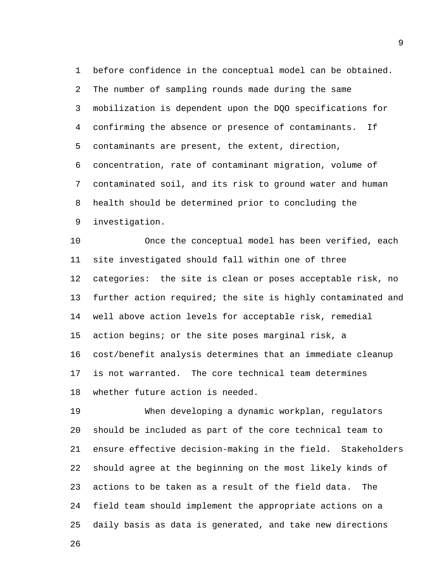1 before confidence in the conceptual model can be obtained. 2 The number of sampling rounds made during the same 3 mobilization is dependent upon the DQO specifications for 4 confirming the absence or presence of contaminants. If 5 contaminants are present, the extent, direction, 6 concentration, rate of contaminant migration, volume of 7 contaminated soil, and its risk to ground water and human 8 health should be determined prior to concluding the 9 investigation.

10 Once the conceptual model has been verified, each 11 site investigated should fall within one of three 12 categories: the site is clean or poses acceptable risk, no 13 further action required; the site is highly contaminated and 14 well above action levels for acceptable risk, remedial 15 action begins; or the site poses marginal risk, a 16 cost/benefit analysis determines that an immediate cleanup 17 is not warranted. The core technical team determines 18 whether future action is needed.

19 When developing a dynamic workplan, regulators 20 should be included as part of the core technical team to 21 ensure effective decision-making in the field. Stakeholders 22 should agree at the beginning on the most likely kinds of 23 actions to be taken as a result of the field data. The 24 field team should implement the appropriate actions on a 25 daily basis as data is generated, and take new directions

26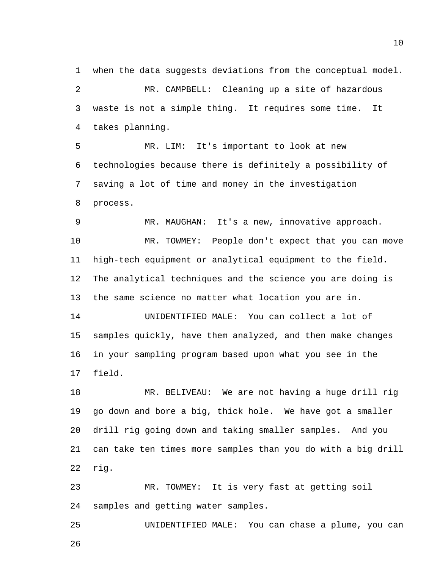1 when the data suggests deviations from the conceptual model. 2 MR. CAMPBELL: Cleaning up a site of hazardous 3 waste is not a simple thing. It requires some time. It 4 takes planning.

5 MR. LIM: It's important to look at new 6 technologies because there is definitely a possibility of 7 saving a lot of time and money in the investigation 8 process.

9 MR. MAUGHAN: It's a new, innovative approach.

10 MR. TOWMEY: People don't expect that you can move 11 high-tech equipment or analytical equipment to the field. 12 The analytical techniques and the science you are doing is 13 the same science no matter what location you are in.

14 UNIDENTIFIED MALE: You can collect a lot of 15 samples quickly, have them analyzed, and then make changes 16 in your sampling program based upon what you see in the 17 field.

18 MR. BELIVEAU: We are not having a huge drill rig 19 go down and bore a big, thick hole. We have got a smaller 20 drill rig going down and taking smaller samples. And you 21 can take ten times more samples than you do with a big drill 22 rig.

23 MR. TOWMEY: It is very fast at getting soil 24 samples and getting water samples.

25 UNIDENTIFIED MALE: You can chase a plume, you can 26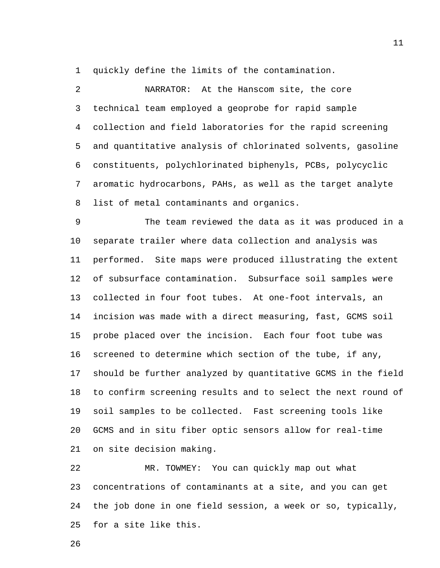1 quickly define the limits of the contamination.

2 NARRATOR: At the Hanscom site, the core 3 technical team employed a geoprobe for rapid sample 4 collection and field laboratories for the rapid screening 5 and quantitative analysis of chlorinated solvents, gasoline 6 constituents, polychlorinated biphenyls, PCBs, polycyclic 7 aromatic hydrocarbons, PAHs, as well as the target analyte 8 list of metal contaminants and organics.

9 The team reviewed the data as it was produced in a 10 separate trailer where data collection and analysis was 11 performed. Site maps were produced illustrating the extent 12 of subsurface contamination. Subsurface soil samples were 13 collected in four foot tubes. At one-foot intervals, an 14 incision was made with a direct measuring, fast, GCMS soil 15 probe placed over the incision. Each four foot tube was 16 screened to determine which section of the tube, if any, 17 should be further analyzed by quantitative GCMS in the field 18 to confirm screening results and to select the next round of 19 soil samples to be collected. Fast screening tools like 20 GCMS and in situ fiber optic sensors allow for real-time 21 on site decision making.

22 MR. TOWMEY: You can quickly map out what 23 concentrations of contaminants at a site, and you can get 24 the job done in one field session, a week or so, typically, 25 for a site like this.

26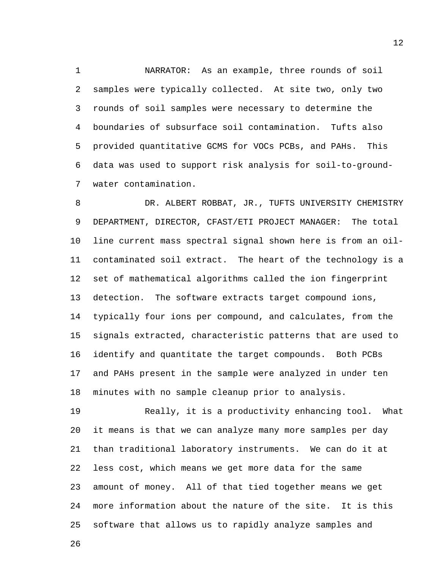1 NARRATOR: As an example, three rounds of soil 2 samples were typically collected. At site two, only two 3 rounds of soil samples were necessary to determine the 4 boundaries of subsurface soil contamination. Tufts also 5 provided quantitative GCMS for VOCs PCBs, and PAHs. This 6 data was used to support risk analysis for soil-to-ground-7 water contamination.

8 DR. ALBERT ROBBAT, JR., TUFTS UNIVERSITY CHEMISTRY 9 DEPARTMENT, DIRECTOR, CFAST/ETI PROJECT MANAGER: The total 10 line current mass spectral signal shown here is from an oil-11 contaminated soil extract. The heart of the technology is a 12 set of mathematical algorithms called the ion fingerprint 13 detection. The software extracts target compound ions, 14 typically four ions per compound, and calculates, from the 15 signals extracted, characteristic patterns that are used to 16 identify and quantitate the target compounds. Both PCBs 17 and PAHs present in the sample were analyzed in under ten 18 minutes with no sample cleanup prior to analysis.

19 Really, it is a productivity enhancing tool. What 20 it means is that we can analyze many more samples per day 21 than traditional laboratory instruments. We can do it at 22 less cost, which means we get more data for the same 23 amount of money. All of that tied together means we get 24 more information about the nature of the site. It is this 25 software that allows us to rapidly analyze samples and

26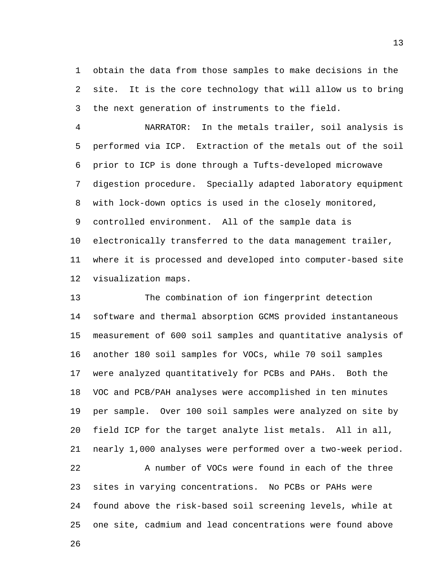1 obtain the data from those samples to make decisions in the 2 site. It is the core technology that will allow us to bring 3 the next generation of instruments to the field.

4 NARRATOR: In the metals trailer, soil analysis is 5 performed via ICP. Extraction of the metals out of the soil 6 prior to ICP is done through a Tufts-developed microwave 7 digestion procedure. Specially adapted laboratory equipment 8 with lock-down optics is used in the closely monitored, 9 controlled environment. All of the sample data is 10 electronically transferred to the data management trailer, 11 where it is processed and developed into computer-based site 12 visualization maps.

13 The combination of ion fingerprint detection 14 software and thermal absorption GCMS provided instantaneous 15 measurement of 600 soil samples and quantitative analysis of 16 another 180 soil samples for VOCs, while 70 soil samples 17 were analyzed quantitatively for PCBs and PAHs. Both the 18 VOC and PCB/PAH analyses were accomplished in ten minutes 19 per sample. Over 100 soil samples were analyzed on site by 20 field ICP for the target analyte list metals. All in all, 21 nearly 1,000 analyses were performed over a two-week period. 22 A number of VOCs were found in each of the three 23 sites in varying concentrations. No PCBs or PAHs were 24 found above the risk-based soil screening levels, while at 25 one site, cadmium and lead concentrations were found above

26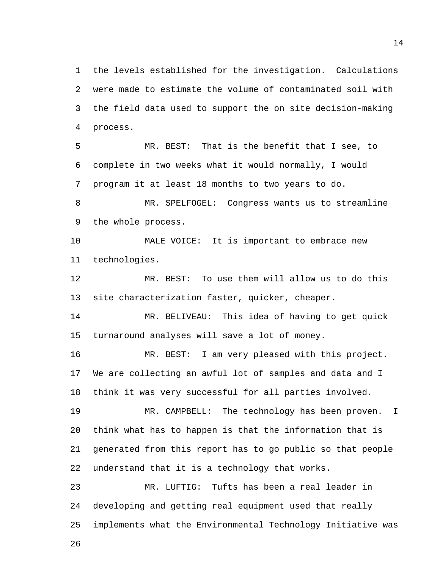1 the levels established for the investigation. Calculations 2 were made to estimate the volume of contaminated soil with 3 the field data used to support the on site decision-making 4 process.

5 MR. BEST: That is the benefit that I see, to 6 complete in two weeks what it would normally, I would 7 program it at least 18 months to two years to do.

8 MR. SPELFOGEL: Congress wants us to streamline 9 the whole process.

10 MALE VOICE: It is important to embrace new 11 technologies.

12 MR. BEST: To use them will allow us to do this 13 site characterization faster, quicker, cheaper.

14 MR. BELIVEAU: This idea of having to get quick 15 turnaround analyses will save a lot of money.

16 MR. BEST: I am very pleased with this project. 17 We are collecting an awful lot of samples and data and I 18 think it was very successful for all parties involved.

19 MR. CAMPBELL: The technology has been proven. I 20 think what has to happen is that the information that is 21 generated from this report has to go public so that people 22 understand that it is a technology that works.

23 MR. LUFTIG: Tufts has been a real leader in 24 developing and getting real equipment used that really 25 implements what the Environmental Technology Initiative was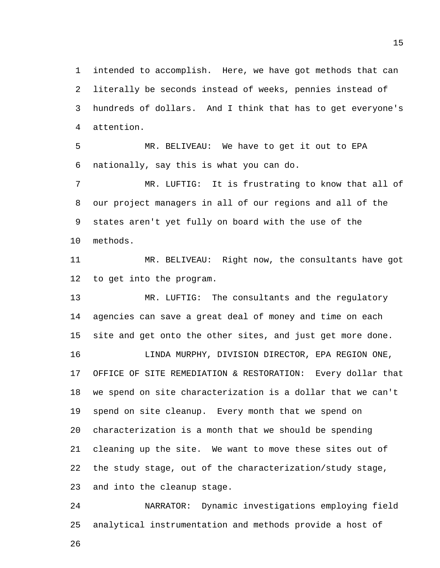1 intended to accomplish. Here, we have got methods that can 2 literally be seconds instead of weeks, pennies instead of 3 hundreds of dollars. And I think that has to get everyone's 4 attention.

5 MR. BELIVEAU: We have to get it out to EPA 6 nationally, say this is what you can do.

7 MR. LUFTIG: It is frustrating to know that all of 8 our project managers in all of our regions and all of the 9 states aren't yet fully on board with the use of the 10 methods.

11 MR. BELIVEAU: Right now, the consultants have got 12 to get into the program.

13 MR. LUFTIG: The consultants and the regulatory 14 agencies can save a great deal of money and time on each 15 site and get onto the other sites, and just get more done.

16 LINDA MURPHY, DIVISION DIRECTOR, EPA REGION ONE, 17 OFFICE OF SITE REMEDIATION & RESTORATION: Every dollar that 18 we spend on site characterization is a dollar that we can't 19 spend on site cleanup. Every month that we spend on 20 characterization is a month that we should be spending 21 cleaning up the site. We want to move these sites out of 22 the study stage, out of the characterization/study stage, 23 and into the cleanup stage.

24 NARRATOR: Dynamic investigations employing field 25 analytical instrumentation and methods provide a host of